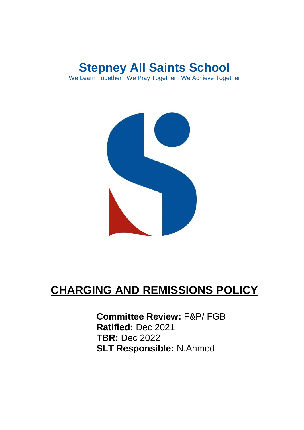## **Stepney All Saints School** We Learn Together | We Pray Together | We Achieve Together



## **CHARGING AND REMISSIONS POLICY**

**Committee Review:** F&P/ FGB **Ratified:** Dec 2021 **TBR:** Dec 2022 **SLT Responsible:** N.Ahmed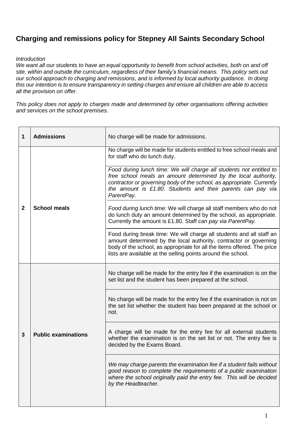## **Charging and remissions policy for Stepney All Saints Secondary School**

## *Introduction*

*We want all our students to have an equal opportunity to benefit from school activities, both on and off site, within and outside the curriculum, regardless of their family's financial means. This policy sets out our school approach to charging and remissions, and is informed by local authority guidance. In doing this our intention is to ensure transparency in setting charges and ensure all children are able to access all the provision on offer.*

*This policy does not apply to charges made and determined by other organisations offering activities and services on the school premises.*

| 1              | <b>Admissions</b>          | No charge will be made for admissions.                                                                                                                                                                                                                                                      |
|----------------|----------------------------|---------------------------------------------------------------------------------------------------------------------------------------------------------------------------------------------------------------------------------------------------------------------------------------------|
| $\overline{2}$ | <b>School meals</b>        | No charge will be made for students entitled to free school meals and<br>for staff who do lunch duty.                                                                                                                                                                                       |
|                |                            | Food during lunch time: We will charge all students not entitled to<br>free school meals an amount determined by the local authority,<br>contractor or governing body of the school, as appropriate. Currently<br>the amount is £1.80. Students and their parents can pay via<br>ParentPay. |
|                |                            | Food during lunch time: We will charge all staff members who do not<br>do lunch duty an amount determined by the school, as appropriate.<br>Currently the amount is £1.80. Staff can pay via ParentPay.                                                                                     |
|                |                            | Food during break time: We will charge all students and all staff an<br>amount determined by the local authority, contractor or governing<br>body of the school, as appropriate for all the items offered. The price<br>lists are available at the selling points around the school.        |
| 3              | <b>Public examinations</b> | No charge will be made for the entry fee if the examination is on the<br>set list and the student has been prepared at the school.                                                                                                                                                          |
|                |                            | No charge will be made for the entry fee if the examination is not on<br>the set list whether the student has been prepared at the school or<br>not.                                                                                                                                        |
|                |                            | A charge will be made for the entry fee for all external students<br>whether the examination is on the set list or not. The entry fee is<br>decided by the Exams Board.                                                                                                                     |
|                |                            | We may charge parents the examination fee if a student fails without<br>good reason to complete the requirements of a public examination<br>where the school originally paid the entry fee. This will be decided<br>by the Headteacher.                                                     |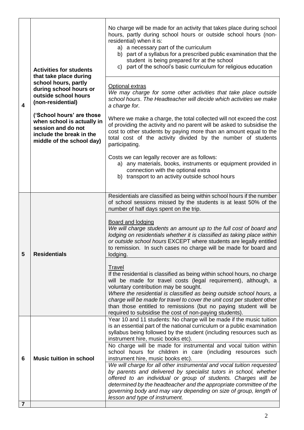| $\overline{\mathbf{4}}$ | <b>Activities for students</b><br>that take place during<br>school hours, partly<br>during school hours or<br>outside school hours<br>(non-residential) | No charge will be made for an activity that takes place during school<br>hours, partly during school hours or outside school hours (non-<br>residential) when it is:<br>a) a necessary part of the curriculum<br>b) part of a syllabus for a prescribed public examination that the<br>student is being prepared for at the school<br>c) part of the school's basic curriculum for religious education                                                                          |
|-------------------------|---------------------------------------------------------------------------------------------------------------------------------------------------------|---------------------------------------------------------------------------------------------------------------------------------------------------------------------------------------------------------------------------------------------------------------------------------------------------------------------------------------------------------------------------------------------------------------------------------------------------------------------------------|
|                         |                                                                                                                                                         | Optional extras<br>We may charge for some other activities that take place outside<br>school hours. The Headteacher will decide which activities we make<br>a charge for.                                                                                                                                                                                                                                                                                                       |
|                         | ('School hours' are those<br>when school is actually in<br>session and do not<br>include the break in the<br>middle of the school day)                  | Where we make a charge, the total collected will not exceed the cost<br>of providing the activity and no parent will be asked to subsidise the<br>cost to other students by paying more than an amount equal to the<br>total cost of the activity divided by the number of students<br>participating.                                                                                                                                                                           |
|                         |                                                                                                                                                         | Costs we can legally recover are as follows:<br>a) any materials, books, instruments or equipment provided in<br>connection with the optional extra<br>b) transport to an activity outside school hours                                                                                                                                                                                                                                                                         |
| 5                       | <b>Residentials</b>                                                                                                                                     | Residentials are classified as being within school hours if the number<br>of school sessions missed by the students is at least 50% of the<br>number of half days spent on the trip.                                                                                                                                                                                                                                                                                            |
|                         |                                                                                                                                                         | Board and lodging<br>We will charge students an amount up to the full cost of board and<br>lodging on residentials whether it is classified as taking place within<br>or outside school hours EXCEPT where students are legally entitled<br>to remission. In such cases no charge will be made for board and<br>lodging.                                                                                                                                                        |
|                         |                                                                                                                                                         | Travel<br>If the residential is classified as being within school hours, no charge<br>will be made for travel costs (legal requirement), although, a<br>voluntary contribution may be sought.<br>Where the residential is classified as being outside school hours, a<br>charge will be made for travel to cover the unit cost per student other<br>than those entitled to remissions (but no paying student will be<br>required to subsidise the cost of non-paying students). |
| 6                       | <b>Music tuition in school</b>                                                                                                                          | Year 10 and 11 students: No charge will be made if the music tuition<br>is an essential part of the national curriculum or a public examination<br>syllabus being followed by the student (including resources such as<br>instrument hire, music books etc).<br>No charge will be made for instrumental and vocal tuition within<br>school hours for children in care (including resources such<br>instrument hire, music books etc).                                           |
|                         |                                                                                                                                                         | We will charge for all other instrumental and vocal tuition requested<br>by parents and delivered by specialist tutors in school, whether<br>offered to an individual or group of students. Charges will be<br>determined by the headteacher and the appropriate committee of the<br>governing body and may vary depending on size of group, length of<br>lesson and type of instrument.                                                                                        |
| $\overline{7}$          |                                                                                                                                                         |                                                                                                                                                                                                                                                                                                                                                                                                                                                                                 |